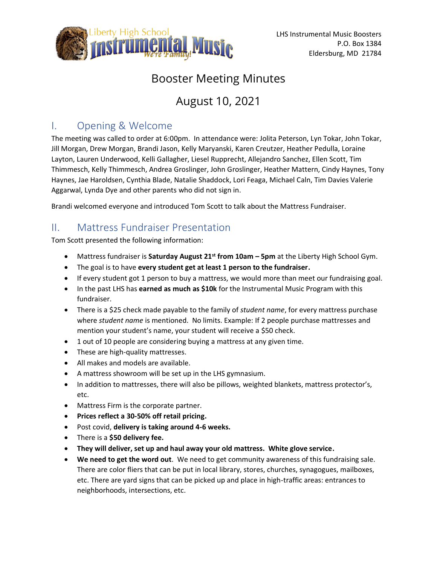

# Booster Meeting Minutes

# August 10, 2021

# I. Opening & Welcome

The meeting was called to order at 6:00pm. In attendance were: Jolita Peterson, Lyn Tokar, John Tokar, Jill Morgan, Drew Morgan, Brandi Jason, Kelly Maryanski, Karen Creutzer, Heather Pedulla, Loraine Layton, Lauren Underwood, Kelli Gallagher, Liesel Rupprecht, Allejandro Sanchez, Ellen Scott, Tim Thimmesch, Kelly Thimmesch, Andrea Groslinger, John Groslinger, Heather Mattern, Cindy Haynes, Tony Haynes, Jae Haroldsen, Cynthia Blade, Natalie Shaddock, Lori Feaga, Michael Caln, Tim Davies Valerie Aggarwal, Lynda Dye and other parents who did not sign in.

Brandi welcomed everyone and introduced Tom Scott to talk about the Mattress Fundraiser.

# II. Mattress Fundraiser Presentation

Tom Scott presented the following information:

- Mattress fundraiser is **Saturday August 21st from 10am – 5pm** at the Liberty High School Gym.
- The goal is to have **every student get at least 1 person to the fundraiser.**
- If every student got 1 person to buy a mattress, we would more than meet our fundraising goal.
- In the past LHS has **earned as much as \$10k** for the Instrumental Music Program with this fundraiser.
- There is a \$25 check made payable to the family of *student name*, for every mattress purchase where *student name* is mentioned. No limits. Example: If 2 people purchase mattresses and mention your student's name, your student will receive a \$50 check.
- 1 out of 10 people are considering buying a mattress at any given time.
- These are high-quality mattresses.
- All makes and models are available.
- A mattress showroom will be set up in the LHS gymnasium.
- In addition to mattresses, there will also be pillows, weighted blankets, mattress protector's, etc.
- Mattress Firm is the corporate partner.
- **Prices reflect a 30-50% off retail pricing.**
- Post covid, **delivery is taking around 4-6 weeks.**
- There is a **\$50 delivery fee.**
- **They will deliver, set up and haul away your old mattress. White glove service.**
- **We need to get the word out**. We need to get community awareness of this fundraising sale. There are color fliers that can be put in local library, stores, churches, synagogues, mailboxes, etc. There are yard signs that can be picked up and place in high-traffic areas: entrances to neighborhoods, intersections, etc.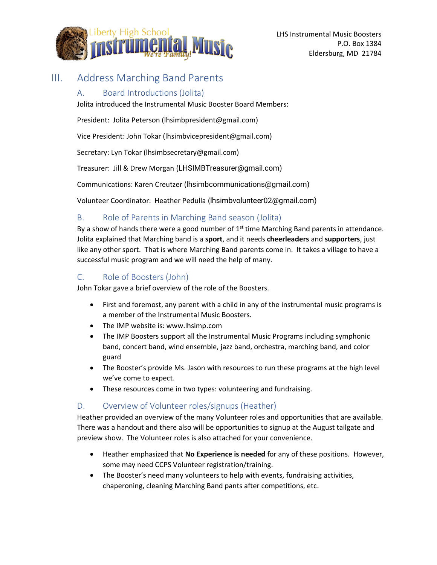

# III. Address Marching Band Parents

#### A. Board Introductions (Jolita)

Jolita introduced the Instrumental Music Booster Board Members:

President: Jolita Peterson (lhsimbpresident@gmail.com)

Vice President: John Tokar (lhsimbvicepresident@gmail.com)

Secretary: Lyn Tokar (lhsimbsecretary@gmail.com)

Treasurer: Jill & Drew Morgan (LHSIMBTreasurer@gmail.com)

Communications: Karen Creutzer (lhsimbcommunications@gmail.com)

Volunteer Coordinator: Heather Pedulla (lhsimbvolunteer02@gmail.com)

## B. Role of Parents in Marching Band season (Jolita)

By a show of hands there were a good number of  $1<sup>st</sup>$  time Marching Band parents in attendance. Jolita explained that Marching band is a **sport**, and it needs **cheerleaders** and **supporters**, just like any other sport. That is where Marching Band parents come in. It takes a village to have a successful music program and we will need the help of many.

## C. Role of Boosters (John)

John Tokar gave a brief overview of the role of the Boosters.

- First and foremost, any parent with a child in any of the instrumental music programs is a member of the Instrumental Music Boosters.
- The IMP website is: www.lhsimp.com
- The IMP Boosters support all the Instrumental Music Programs including symphonic band, concert band, wind ensemble, jazz band, orchestra, marching band, and color guard
- The Booster's provide Ms. Jason with resources to run these programs at the high level we've come to expect.
- These resources come in two types: volunteering and fundraising.

## D. Overview of Volunteer roles/signups (Heather)

Heather provided an overview of the many Volunteer roles and opportunities that are available. There was a handout and there also will be opportunities to signup at the August tailgate and preview show. The Volunteer roles is also attached for your convenience.

- Heather emphasized that **No Experience is needed** for any of these positions. However, some may need CCPS Volunteer registration/training.
- The Booster's need many volunteers to help with events, fundraising activities, chaperoning, cleaning Marching Band pants after competitions, etc.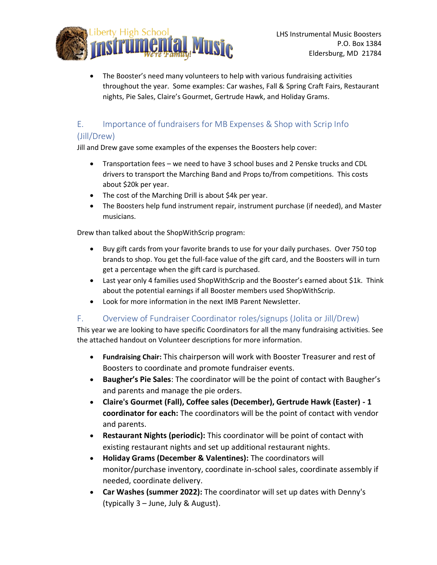

• The Booster's need many volunteers to help with various fundraising activities throughout the year. Some examples: Car washes, Fall & Spring Craft Fairs, Restaurant nights, Pie Sales, Claire's Gourmet, Gertrude Hawk, and Holiday Grams.

# E. Importance of fundraisers for MB Expenses & Shop with Scrip Info

## (Jill/Drew)

Jill and Drew gave some examples of the expenses the Boosters help cover:

- Transportation fees we need to have 3 school buses and 2 Penske trucks and CDL drivers to transport the Marching Band and Props to/from competitions. This costs about \$20k per year.
- The cost of the Marching Drill is about \$4k per year.
- The Boosters help fund instrument repair, instrument purchase (if needed), and Master musicians.

Drew than talked about the ShopWithScrip program:

- Buy gift cards from your favorite brands to use for your daily purchases. Over 750 top brands to shop. You get the full-face value of the gift card, and the Boosters will in turn get a percentage when the gift card is purchased.
- Last year only 4 families used ShopWithScrip and the Booster's earned about \$1k. Think about the potential earnings if all Booster members used ShopWithScrip.
- Look for more information in the next IMB Parent Newsletter.

## F. Overview of Fundraiser Coordinator roles/signups (Jolita or Jill/Drew)

This year we are looking to have specific Coordinators for all the many fundraising activities. See the attached handout on Volunteer descriptions for more information.

- **Fundraising Chair:** This chairperson will work with Booster Treasurer and rest of Boosters to coordinate and promote fundraiser events.
- **Baugher's Pie Sales**: The coordinator will be the point of contact with Baugher's and parents and manage the pie orders.
- **Claire's Gourmet (Fall), Coffee sales (December), Gertrude Hawk (Easter) - 1 coordinator for each:** The coordinators will be the point of contact with vendor and parents.
- **Restaurant Nights (periodic):** This coordinator will be point of contact with existing restaurant nights and set up additional restaurant nights.
- **Holiday Grams (December & Valentines):** The coordinators will monitor/purchase inventory, coordinate in-school sales, coordinate assembly if needed, coordinate delivery.
- **Car Washes (summer 2022):** The coordinator will set up dates with Denny's (typically 3 – June, July & August).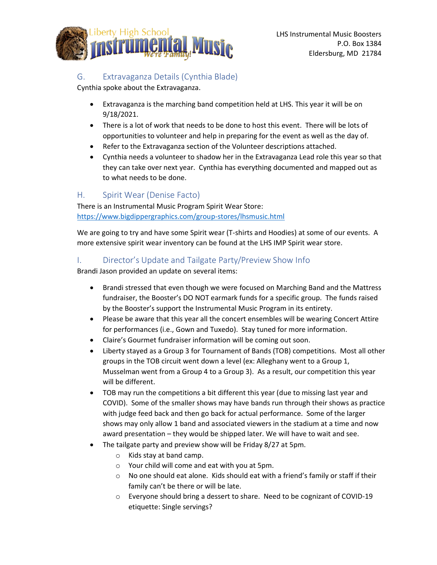

## G. Extravaganza Details (Cynthia Blade)

Cynthia spoke about the Extravaganza.

- Extravaganza is the marching band competition held at LHS. This year it will be on 9/18/2021.
- There is a lot of work that needs to be done to host this event. There will be lots of opportunities to volunteer and help in preparing for the event as well as the day of.
- Refer to the Extravaganza section of the Volunteer descriptions attached.
- Cynthia needs a volunteer to shadow her in the Extravaganza Lead role this year so that they can take over next year. Cynthia has everything documented and mapped out as to what needs to be done.

#### H. Spirit Wear (Denise Facto)

There is an Instrumental Music Program Spirit Wear Store: <https://www.bigdippergraphics.com/group-stores/lhsmusic.html>

We are going to try and have some Spirit wear (T-shirts and Hoodies) at some of our events. A more extensive spirit wear inventory can be found at the LHS IMP Spirit wear store.

#### I. Director's Update and Tailgate Party/Preview Show Info

Brandi Jason provided an update on several items:

- Brandi stressed that even though we were focused on Marching Band and the Mattress fundraiser, the Booster's DO NOT earmark funds for a specific group. The funds raised by the Booster's support the Instrumental Music Program in its entirety.
- Please be aware that this year all the concert ensembles will be wearing Concert Attire for performances (i.e., Gown and Tuxedo). Stay tuned for more information.
- Claire's Gourmet fundraiser information will be coming out soon.
- Liberty stayed as a Group 3 for Tournament of Bands (TOB) competitions. Most all other groups in the TOB circuit went down a level (ex: Alleghany went to a Group 1, Musselman went from a Group 4 to a Group 3). As a result, our competition this year will be different.
- TOB may run the competitions a bit different this year (due to missing last year and COVID). Some of the smaller shows may have bands run through their shows as practice with judge feed back and then go back for actual performance. Some of the larger shows may only allow 1 band and associated viewers in the stadium at a time and now award presentation – they would be shipped later. We will have to wait and see.
- The tailgate party and preview show will be Friday 8/27 at 5pm.
	- o Kids stay at band camp.
	- o Your child will come and eat with you at 5pm.
	- $\circ$  No one should eat alone. Kids should eat with a friend's family or staff if their family can't be there or will be late.
	- o Everyone should bring a dessert to share. Need to be cognizant of COVID-19 etiquette: Single servings?